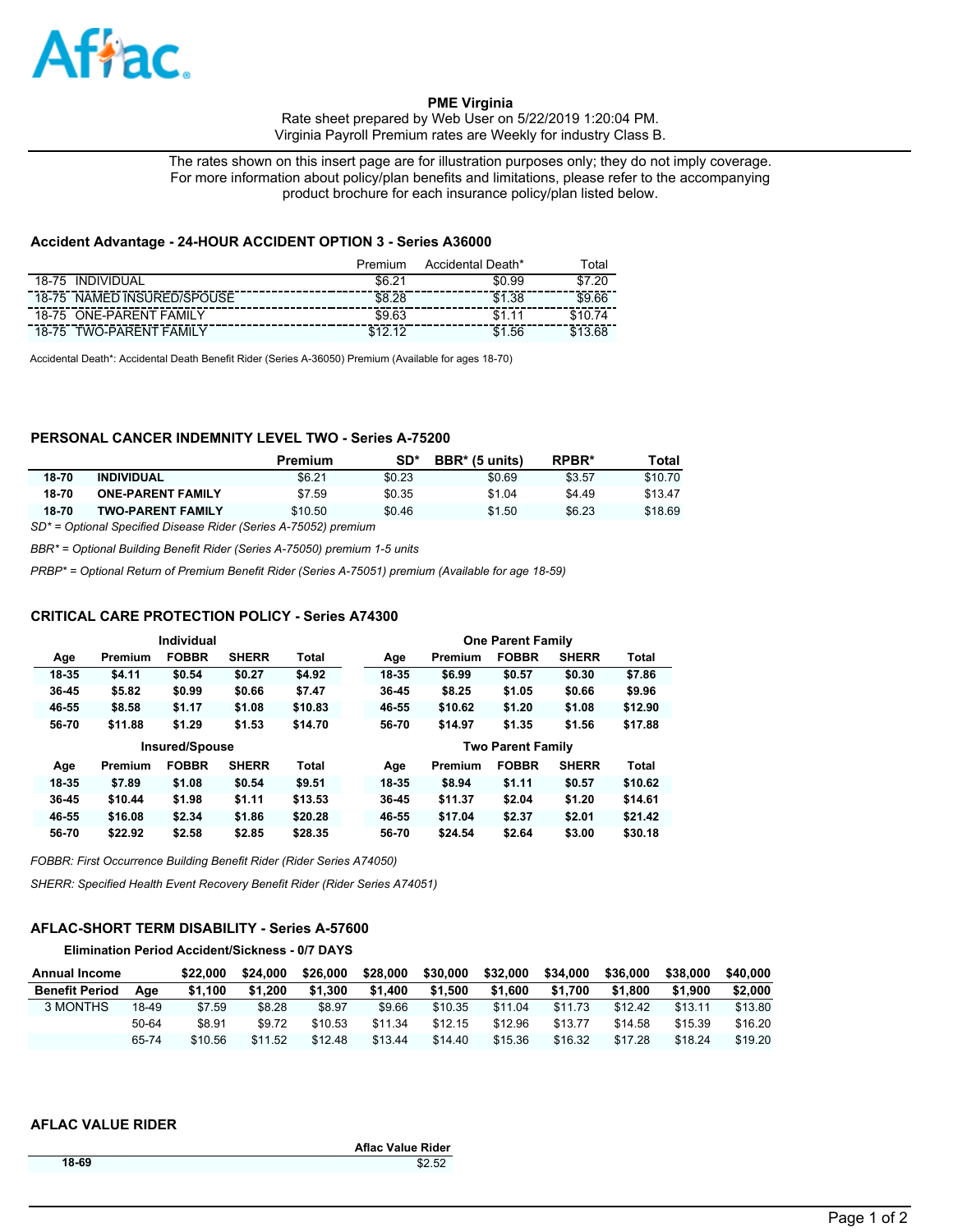

**PME Virginia**  Rate sheet prepared by Web User on 5/22/2019 1:20:04 PM. Virginia Payroll Premium rates are Weekly for industry Class B.

The rates shown on this insert page are for illustration purposes only; they do not imply coverage. For more information about policy/plan benefits and limitations, please refer to the accompanying product brochure for each insurance policy/plan listed below.

### **Accident Advantage - 24-HOUR ACCIDENT OPTION 3 - Series A36000**

|                                   | Premium        | Accidental Death* | ⊺otal   |
|-----------------------------------|----------------|-------------------|---------|
| <b>INDIVIDUAL</b><br>$18 - 75$    | $\sim$         | \$0.99            | റ<br>47 |
| NAMED INSURED/SPOUSE<br>18-75     | \$8.28         | 1.38              | \$9.66  |
| <b>ONE-PARENT FAMILY</b><br>18-75 | \$9.63         |                   |         |
| TWO-PARENT<br>FAMIL<br>18-75      | $\overline{a}$ | .56<br>\$1        |         |

Accidental Death\*: Accidental Death Benefit Rider (Series A-36050) Premium (Available for ages 18-70)

# **PERSONAL CANCER INDEMNITY LEVEL TWO - Series A-75200**

|       |                          | Premium | SD*    | BBR* (5 units) | RPBR*  | Total   |
|-------|--------------------------|---------|--------|----------------|--------|---------|
| 18-70 | <b>INDIVIDUAL</b>        | \$6.21  | \$0.23 | \$0.69         | \$3.57 | \$10.70 |
| 18-70 | <b>ONE-PARENT FAMILY</b> | \$7.59  | \$0.35 | \$1.04         | \$4.49 | \$13.47 |
| 18-70 | <b>TWO-PARENT FAMILY</b> | \$10.50 | \$0.46 | \$1.50         | \$6.23 | \$18.69 |
|       |                          |         |        |                |        |         |

*SD\* = Optional Specified Disease Rider (Series A-75052) premium*

*BBR\* = Optional Building Benefit Rider (Series A-75050) premium 1-5 units*

*PRBP\* = Optional Return of Premium Benefit Rider (Series A-75051) premium (Available for age 18-59)*

## **CRITICAL CARE PROTECTION POLICY - Series A74300**

|           |         | Individual            |              |         |       |         | <b>One Parent Family</b> |              |              |
|-----------|---------|-----------------------|--------------|---------|-------|---------|--------------------------|--------------|--------------|
| Age       | Premium | <b>FOBBR</b>          | <b>SHERR</b> | Total   | Age   | Premium | <b>FOBBR</b>             | <b>SHERR</b> | Total        |
| 18-35     | \$4.11  | \$0.54                | \$0.27       | \$4.92  | 18-35 | \$6.99  | \$0.57                   | \$0.30       | \$7.86       |
| $36 - 45$ | \$5.82  | \$0.99                | \$0.66       | \$7.47  | 36-45 | \$8.25  | \$1.05                   | \$0.66       | \$9.96       |
| 46-55     | \$8.58  | \$1.17                | \$1.08       | \$10.83 | 46-55 | \$10.62 | \$1,20                   | \$1.08       | \$12.90      |
| 56-70     | \$11.88 | \$1.29                | \$1.53       | \$14.70 | 56-70 | \$14.97 | \$1.35                   | \$1.56       | \$17.88      |
|           |         |                       |              |         |       |         |                          |              |              |
|           |         | <b>Insured/Spouse</b> |              |         |       |         | <b>Two Parent Family</b> |              |              |
| Age       | Premium | <b>FOBBR</b>          | <b>SHERR</b> | Total   | Age   | Premium | <b>FOBBR</b>             | <b>SHERR</b> | <b>Total</b> |
| 18-35     | \$7.89  | \$1.08                | \$0.54       | \$9.51  | 18-35 | \$8.94  | \$1.11                   | \$0.57       | \$10.62      |
| $36 - 45$ | \$10.44 | \$1.98                | \$1.11       | \$13.53 | 36-45 | \$11.37 | \$2.04                   | \$1.20       | \$14.61      |
| 46-55     | \$16.08 | \$2.34                | \$1.86       | \$20.28 | 46-55 | \$17.04 | \$2.37                   | \$2.01       | \$21.42      |

*FOBBR: First Occurrence Building Benefit Rider (Rider Series A74050)*

*SHERR: Specified Health Event Recovery Benefit Rider (Rider Series A74051)*

#### **AFLAC-SHORT TERM DISABILITY - Series A-57600**

## **Elimination Period Accident/Sickness - 0/7 DAYS**

| <b>Annual Income</b>  |       | \$22.000 | \$24.000 | \$26,000 | \$28,000 | \$30,000 | \$32,000 | \$34,000 | \$36,000 | \$38,000 | \$40,000 |
|-----------------------|-------|----------|----------|----------|----------|----------|----------|----------|----------|----------|----------|
| <b>Benefit Period</b> | Aae   | \$1.100  | \$1.200  | \$1.300  | \$1.400  | \$1.500  | \$1,600  | \$1.700  | \$1.800  | \$1.900  | \$2,000  |
| 3 MONTHS              | 18-49 | \$7.59   | \$8.28   | \$8.97   | \$9.66   | \$10.35  | \$11.04  | \$11.73  | \$12.42  | \$13.11  | \$13.80  |
|                       | 50-64 | \$8.91   | \$9.72   | \$10.53  | \$11.34  | \$12.15  | \$12.96  | \$13.77  | \$14.58  | \$15.39  | \$16.20  |
|                       | 65-74 | \$10.56  | \$11.52  | \$12.48  | \$13.44  | \$14.40  | \$15.36  | \$16.32  | \$17.28  | \$18.24  | \$19.20  |

# **AFLAC VALUE RIDER**

**18-69** \$2.52

**Aflac Value Rider**